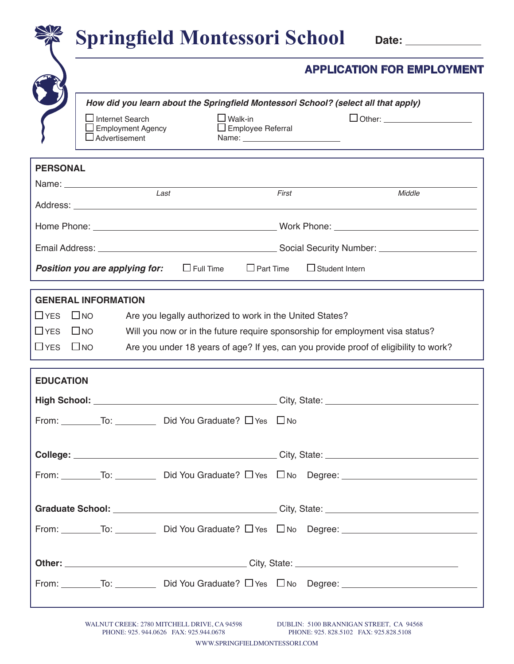|                                        |                                                                         | <b>Springfield Montessori School</b>                                                                                                                                                                                                  |                                            |                                  | Date: ______________                                                                                                                                                  |  |  |
|----------------------------------------|-------------------------------------------------------------------------|---------------------------------------------------------------------------------------------------------------------------------------------------------------------------------------------------------------------------------------|--------------------------------------------|----------------------------------|-----------------------------------------------------------------------------------------------------------------------------------------------------------------------|--|--|
|                                        | <b>APPLICATION FOR EMPLOYMENT</b>                                       |                                                                                                                                                                                                                                       |                                            |                                  |                                                                                                                                                                       |  |  |
|                                        | $\Box$ Internet Search<br>Advertisement                                 | <b>Employment Agency</b>                                                                                                                                                                                                              | $\Box$ Walk-in<br>$\Box$ Employee Referral | Name: __________________________ | How did you learn about the Springfield Montessori School? (select all that apply)<br>□ Other: ______________________                                                 |  |  |
| <b>PERSONAL</b>                        |                                                                         |                                                                                                                                                                                                                                       |                                            |                                  |                                                                                                                                                                       |  |  |
|                                        |                                                                         | Name: Name: Name: Name: Name: Name: Name: Name: Name: Name: Name: Name: Name: Name: Name: Name: Name: Name: Name: Name: Name: Name: Name: Name: Name: Name: Name: Name: Name: Name: Name: Name: Name: Name: Name: Name: Name:<br>Last |                                            | First                            | Middle                                                                                                                                                                |  |  |
|                                        |                                                                         |                                                                                                                                                                                                                                       |                                            |                                  |                                                                                                                                                                       |  |  |
|                                        |                                                                         |                                                                                                                                                                                                                                       |                                            |                                  |                                                                                                                                                                       |  |  |
|                                        | Position you are applying for:                                          |                                                                                                                                                                                                                                       | $\Box$ Full Time<br>$\Box$ Part Time       |                                  | $\Box$ Student Intern                                                                                                                                                 |  |  |
| $\Box$ YES<br>$\Box$ YES<br>$\Box$ YES | <b>GENERAL INFORMATION</b><br>$\Box$ NO<br>$\square$ NO<br>$\square$ NO | Are you legally authorized to work in the United States?                                                                                                                                                                              |                                            |                                  | Will you now or in the future require sponsorship for employment visa status?<br>Are you under 18 years of age? If yes, can you provide proof of eligibility to work? |  |  |
| <b>EDUCATION</b>                       |                                                                         |                                                                                                                                                                                                                                       |                                            |                                  |                                                                                                                                                                       |  |  |
|                                        |                                                                         | From: __________To: ___________ Did You Graduate? □ Yes □ No                                                                                                                                                                          |                                            |                                  |                                                                                                                                                                       |  |  |
|                                        |                                                                         |                                                                                                                                                                                                                                       |                                            |                                  |                                                                                                                                                                       |  |  |
|                                        |                                                                         |                                                                                                                                                                                                                                       |                                            |                                  | From: To: To: Did You Graduate? □ Yes □ No Degree: The Management Contract of Did You Graduate? □ Yes □ No Degree:                                                    |  |  |
|                                        |                                                                         |                                                                                                                                                                                                                                       |                                            |                                  |                                                                                                                                                                       |  |  |
|                                        |                                                                         |                                                                                                                                                                                                                                       |                                            |                                  |                                                                                                                                                                       |  |  |
|                                        |                                                                         |                                                                                                                                                                                                                                       |                                            |                                  | From: $\overline{\phantom{a}}$ To: $\overline{\phantom{a}}$ Did You Graduate? $\Box$ Yes $\Box$ No Degree: $\overline{\phantom{a}}$                                   |  |  |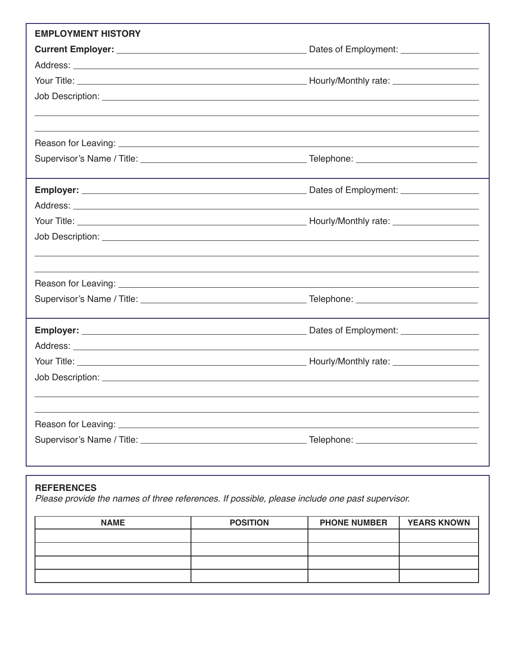| <b>EMPLOYMENT HISTORY</b>                                                                                                                                                                                                            |  |
|--------------------------------------------------------------------------------------------------------------------------------------------------------------------------------------------------------------------------------------|--|
|                                                                                                                                                                                                                                      |  |
|                                                                                                                                                                                                                                      |  |
|                                                                                                                                                                                                                                      |  |
|                                                                                                                                                                                                                                      |  |
|                                                                                                                                                                                                                                      |  |
|                                                                                                                                                                                                                                      |  |
|                                                                                                                                                                                                                                      |  |
|                                                                                                                                                                                                                                      |  |
|                                                                                                                                                                                                                                      |  |
|                                                                                                                                                                                                                                      |  |
|                                                                                                                                                                                                                                      |  |
|                                                                                                                                                                                                                                      |  |
| Job Description: <u>with the contract of the contract of the contract of the contract of the contract of the contract of the contract of the contract of the contract of the contract of the contract of the contract of the con</u> |  |
|                                                                                                                                                                                                                                      |  |
|                                                                                                                                                                                                                                      |  |
|                                                                                                                                                                                                                                      |  |
|                                                                                                                                                                                                                                      |  |
|                                                                                                                                                                                                                                      |  |
|                                                                                                                                                                                                                                      |  |
|                                                                                                                                                                                                                                      |  |
|                                                                                                                                                                                                                                      |  |
|                                                                                                                                                                                                                                      |  |
|                                                                                                                                                                                                                                      |  |
|                                                                                                                                                                                                                                      |  |

## **REFERENCES**

*Please provide the names of three references. If possible, please include one past supervisor.*

| <b>NAME</b> | <b>POSITION</b> | <b>PHONE NUMBER</b> | <b>YEARS KNOWN</b> |
|-------------|-----------------|---------------------|--------------------|
|             |                 |                     |                    |
|             |                 |                     |                    |
|             |                 |                     |                    |
|             |                 |                     |                    |